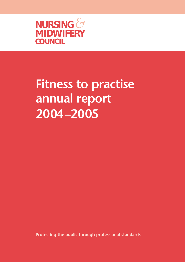

# **Fitness to practise annual report 2004–2005**

**Protecting the public through professional standards**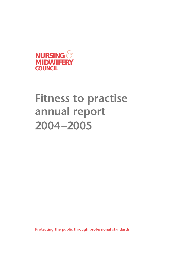

## **Fitness to practise annual report 2004–2005**

**Protecting the public through professional standards**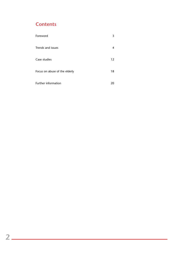### **Contents**

| Foreword                      | 3  |
|-------------------------------|----|
| Trends and issues             | 4  |
| Case studies                  | 12 |
| Focus on abuse of the elderly | 18 |
| Further information           | 20 |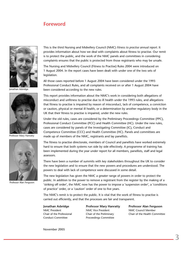### **Foreword**



Jonathan Asbridge



Professor Mary Hanratty



Professor Alan Ferguson

This is the third Nursing and Midwifery Council (NMC) *Fitness to practise annual report*. It provides information about how we deal with complaints about fitness to practise. Our remit is to protect the public, and the work of the NMC panels and committees in considering complaints ensures that the public is protected from those registrants who may be unsafe.

The Nursing and Midwifery Council (Fitness to Practise) Rules 2004 were introduced on 1 August 2004. In the report cases have been dealt with under one of the two sets of legislation.

All those cases reported before 1 August 2004 have been considered under the 1993 Professional Conduct Rules, and all complaints received on or after 1 August 2004 have been considered according to the new rules.

This report provides information about the NMC's work in considering both allegations of misconduct and unfitness to practise due to ill health under the 1993 rules, and allegations that fitness to practise is impaired by reason of misconduct, lack of competence, a conviction or caution, physical or mental ill health, or a determination by another regulatory body in the UK that their fitness to practise is impaired, under the new rules.

Under the old rules, cases are considered by the Preliminary Proceedings Committee (PPC), Professional Conduct Committee (PCC) and Health Committee (HC). Under the new rules, cases are considered by panels of the Investigating Committee (IC), Conduct and Competence Committee (CCC) and Health Committee (HC). Panels and committees are made up of members of the NMC, registrants and lay panellists.

The fitness to practise directorate, members of Council and panellists have worked extremely hard to ensure that both systems run side by side effectively. A programme of training has been implemented during the year under report for all members, panellists, staff and legal assessors.

There have been a number of summits with key stakeholders throughout the UK to consider the new legislation and to ensure that the new powers and procedures are understood. The powers to deal with lack of competence were discussed in some detail.

The new legislation has given the NMC a greater range of powers in order to protect the public. In addition to the power to remove a registrant from the register by the making of a 'striking off order', the NMC now has the power to impose a 'suspension order', a 'conditions of practice' order, or a 'caution' order of one to five years.

The NMC's remit is to protect the public. It is vital that the work of fitness to practise is carried out efficiently, and that the processes are fair and transparent.

**Jonathan Asbridge** NMC President Chair of the Professional Conduct Committee

**Professor Mary Hanratty** NMC Vice President Chair of the Preliminary Proceedings Committee

**Professor Alan Ferguson** NMC Council Member Chair of the Health Committee

November 2005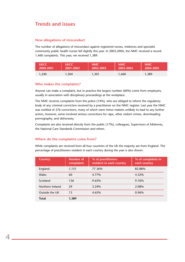### **Trends and issues**

### **New allegations of misconduct**

The number of allegations of misconduct against registered nurses, midwives and specialist community public health nurses fell slightly this year. In 2003-2004, the NMC received a record 1,460 complaints. This year, we received 1,389.

| <b>UKCC</b> | <b>NUKCC</b> | <b>NMC</b> | <b>NMC</b> | <b>NMC</b> |
|-------------|--------------|------------|------------|------------|
| 2000-2001   | 2001-2002    | 2002-2003  | 2003-2004  | 2004-2005  |
| .240        | .304         | .301       | 1.460      | ,389       |

### **Who makes the complaints?**

Anyone can make a complaint, but in practice the largest number (60%) come from employers, usually in association with disciplinary proceedings at the workplace.

The NMC receives complaints from the police (14%), who are obliged to inform the regulatory body of any criminal conviction received by a practitioner on the NMC register. Last year the NMC was notified of 276 convictions, many of which were minor matters unlikely to lead to any further action, however, some involved serious convictions for rape, other violent crimes, downloading pornography, and dishonesty.

Complaints are also received directly from the public (17%), colleagues, Supervisors of Midwives, the National Care Standards Commission and others.

### **Where do the complaints come from?**

**4**

While complaints are received from all four countries of the UK the majority are from England. The percentage of practitioners resident in each country during the year is also shown.

| Country          | <b>Number of</b><br>complaints | % of practitioners<br>resident in each country | % of complaints in<br>each country |
|------------------|--------------------------------|------------------------------------------------|------------------------------------|
| England          | 1,151                          | 77.36%                                         | 82.88%                             |
| <b>Wales</b>     | 60                             | 4.77%                                          | 4.32%                              |
| Scotland         | 136                            | 9.65%                                          | 9.76%                              |
| Northern Ireland | 29                             | 3.24%                                          | 2.08%                              |
| Outside the UK   | 13                             | 4.65%                                          | 0.96%                              |
| <b>Total</b>     | 1,389                          |                                                |                                    |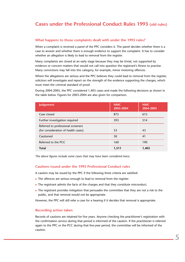### **Cases under the Professional Conduct Rules 1993 (old rules)**

### **What happens to those complaints dealt with under the 1993 rules?**

When a complaint is received a panel of the PPC considers it. The panel decides whether there is a case to answer and whether there is enough evidence to support the complaint. It has to consider whether an allegation is likely to lead to removal from the register.

Many complaints are closed at an early stage because they may be trivial, not supported by evidence or concern matters that would not call into question the registrant's fitness to practise. Many convictions may fall into this category, for example, minor motoring offences.

Where the allegations are serious and the PPC believes they could lead to removal from the register, solicitors will investigate and report on the strength of the evidence supporting the charges, which must meet the criminal standard of proof.

During 2004-2005, the PPC considered 1,403 cases and made the following decisions as shown in the table below. Figures for 2003-2004 are also given for comparison.

| <b>Judgement</b>                                                          | <b>NMC</b><br>2003-2004 | <b>NMC</b><br>2004-2005 |
|---------------------------------------------------------------------------|-------------------------|-------------------------|
| Case closed                                                               | 875                     | 615                     |
| Further investigation required                                            | 393                     | 514                     |
| Referred to professional screeners<br>(for consideration of health cases) | 53                      | 43                      |
| Cautioned                                                                 | 30                      | 41                      |
| Referred to the PCC                                                       | 160                     | 190                     |
| <b>Total</b>                                                              | 1,511                   | 1,403                   |

*The above figures include some cases that may have been considered twice.*

### **Cautions issued under the 1993 Professional Conduct rules**

A caution may be issued by the PPC if the following three criteria are satisfied:

- $\blacktriangleright$  The offences are serious enough to lead to removal from the register.
- The registrant admits the facts of the charges and that they constitute misconduct.
- $\blacktriangleright$  The registrant provides mitigation that persuades the committee that they are not a risk to the public, and that removal would not be appropriate.

However, the PPC will still refer a case for a hearing if it decides that removal is appropriate.

### **Recording action taken**

Records of cautions are retained for five years. Anyone checking the practitioner's registration with the confirmation service during that period is informed of the caution. If the practitioner is referred again to the PPC or the PCC during that five-year period, the committee will be informed of the caution.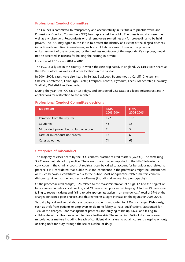### **Professional Conduct Committee**

The Council is committed to transparency and accountability in its fitness to practise work, and Professional Conduct Committee (PCC) hearings are held in public The press is usually present as well as any observers. Respondents or their employers sometimes ask for proceedings to be held in private. The PCC may agree to this if it is to protect the identity of a victim of the alleged offences in particularly sensitive circumstances, such as child abuse cases. However, the potential embarrassment of the respondent, or the business reputation of the respondent's employer, would not be accepted as reasons for holding the hearing in private.

### **Location of PCC cases 2004 – 2005**

The PCC usually sits in the country in which the case originated. In England, 90 cases were heard at the NMC's offices as well as at other locations in the capital.

In 2004-2005, cases were also heard in Belfast, Blackpool, Bournemouth, Cardiff, Cheltenham, Chester, Chesterfield, Edinburgh, Exeter, Liverpool, Penrith, Plymouth, Leeds, Manchester, Newquay, Sheffield, Wakefield and Wetherby.

During the year, the PCC sat on 354 days, and considered 235 cases of alleged misconduct and 7 applications for restoration to the register.

| <b>Judgement</b>                        | <b>NMC</b><br>2003-2004 | <b>NMC</b><br>2004-2005 |
|-----------------------------------------|-------------------------|-------------------------|
| Removed from the register               | 127                     | 106                     |
| Cautioned                               | 45                      | 35                      |
| Misconduct proven but no further action |                         |                         |
| Facts or misconduct not proven          | 13                      | 6                       |
| Cases adjourned                         |                         | 63                      |

### **Professional Conduct Committee decisions**

### **Categories of misconduct**

**6**

The majority of cases heard by the PCC concern practice-related matters (96.6%). The remaining 3.4% were not related to practice. These are usually matters reported to the NMC following a conviction in the criminal courts. A registrant can be called to account for behaviour not related to practice if it is considered that public trust and confidence in the professions might be undermined, or if such behaviour constitutes a risk to the public. Most non-practice-related matters concern dishonesty, violent crime, and sexual offences (including downloading pornography).

Of the practice-related charges, 12% related to the maladministration of drugs, 17% to the neglect of basic care and unsafe clinical practice, and 6% concerned poor record keeping. A further 4% concerned failing to report incidents and failing to take appropriate action in an emergency. A total of 39% of the charges concerned poor practice, and this represents a slight increase on the figures for 2003-2004.

Sexual, physical and verbal abuse of patients or clients accounted for 13% of charges. Dishonesty, such as theft from patients or employers or claiming falsely to have qualifications, accounted for 10% of the charges. Poor management practices and bullying made up 4.6%, and failing to collaborate with colleagues accounted for a further 4%. The remaining 26% of charges covered miscellaneous matters including breach of confidentiality, failure to obtain consent, sleeping on duty or being unfit for duty through the use of alcohol or drugs.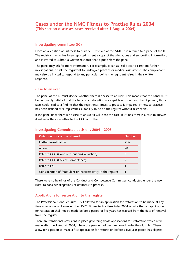### **Cases under the NMC Fitness to Practise Rules 2004 (This section discusses cases received after 1 August 2004)**

### **Investigating committee (IC)**

Once an allegation of unfitness to practise is received at the NMC, it is referred to a panel of the IC. The registrant, who has been reported, is sent a copy of the allegations and supporting information, and is invited to submit a written response that is put before the panel.

The panel may ask for more information. For example, it can ask solicitors to carry out further investigations, or ask the registrant to undergo a practice or medical assessment. The complainant may also be invited to respond to any particular points the registrant raises in their written response.

### **Case to answer**

The panel of the IC must decide whether there is a 'case to answer'. This means that the panel must be reasonably satisfied that the facts of an allegation are capable of proof, and that if proven, those facts could lead to a finding that the registrant's fitness to practise is impaired. Fitness to practise has been defined as 'a registrant's suitability to be on the register without restriction'.

If the panel finds there is no case to answer it will close the case. If it finds there is a case to answer it will refer the case either to the CCC or to the HC.

| <b>Outcome of cases considered</b>                             | <b>Number</b> |
|----------------------------------------------------------------|---------------|
| Further investigation                                          | 216           |
| Adjourn                                                        | 28            |
| Refer to CCC (Conduct/Caution/Conviction)                      | 5             |
| Refer to CCC (Lack of Competence)                              |               |
| Refer to HC                                                    |               |
| Consideration of fraudulent or incorrect entry in the register |               |

### **Investigating Committee decisions 2004 – 2005**

There were no hearings of the Conduct and Competence Committee, conducted under the new rules, to consider allegations of unfitness to practise.

### **Applications for restoration to the register**

The Professional Conduct Rules 1993 allowed for an application for restoration to be made at any time after removal. However, the NMC (Fitness to Practise) Rules 2004 require that an application for restoration shall not be made before a period of five years has elapsed from the date of removal from the register.

There are transitional provisions in place governing those applications for restoration which were made after the 1 August 2004, where the person had been removed under the old rules. These allow for a person to make a first application for restoration before a five-year period has elapsed.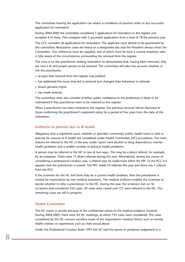The committee hearing the application can attach a conditions of practice order to any successful application for restoration.

During 2004-2005 the committee considered 7 applications for restoration to the register and accepted 4 of these. This compares with 2 successful applications from a total of 18 the previous year.

The CCC considers all applications for restoration. The applicant must attend to be questioned by the committee. Restoration cases are heard on a designated day and the President always chairs the Committee. Two references must be supplied, one of which must be from a current employer who is fully aware of the circumstances surrounding the removal from the register.

The onus is on the practitioner seeking restoration to demonstrate that, having been removed, they are now a fit and proper person to be restored. The committee will take into account whether or not the practitioner:

- $\blacktriangleright$  accepts that removal from the register was justified.
- has addressed the issues that led to removal and changed their behaviour or attitude.
- shows genuine regret.
- has made amends.

The committee must also consider whether public confidence in the professions is likely to be maintained if that practitioner were to be restored to the register.

When a practitioner has been restored to the register, the previous removal will be disclosed to those confirming the practitioner's registered status for a period of five years from the date of the restoration.

#### **Unfitness to practise due to ill health**

Allegations that a registered nurse, midwife or specialist community public health nurse is unfit to practise for reasons of ill health are considered under Health Committee (HC) procedures. The main reasons for referral to the HC in the year under report were alcohol or drug dependence, mental health problems and a smaller number of physical health problems.

A person may be referred to the HC in one of two ways. This may be a direct referral, for example, by an employer. There were 73 direct referrals during the year. Alternatively, during the course of considering a professional conduct case, a referral may be made from either the PPC or the PCC if it appears that the practitioner is unwell. The PPC made 53 referrals this year and there was 1 referral from the PCC.

If the screeners for the HC feel there may be a current health problem, then the practitioner is invited for examination by two medical examiners. The medical evidence enables the screeners to decide whether to refer a practitioner to the HC. During the year, the screeners met on 36 occasions and considered 352 cases. 29 cases were closed and 151 were referred to the HC. The remaining cases are still in progress.

### **Health Committee**

The HC meets in private because of the confidential nature of the medical evidence involved. During 2004-2005, there were 42 HC meetings, at which 193 cases were considered. The cases considered by the HC concern sensitive issues of the respondent's medical history such as mental health matters or experiences such as child sexual abuse.

Under the Professional Conduct Rules 1993 the HC had the power to postpone judgement in a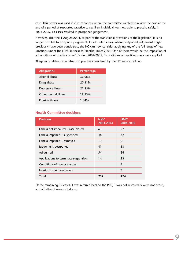case. This power was used in circumstances where the committee wanted to review the case at the end of a period of supported practice to see if an individual was now able to practise safely. In 2004-2005, 13 cases resulted in postponed judgement.

However, after the 1 August 2004, as part of the transitional provisions of the legislation, it is no longer possible to postpone judgement. In 'old rules' cases, where postponed judgement might previously have been considered, the HC can now consider applying any of the full range of new sanctions under the NMC (Fitness to Practise) Rules 2004. One of these would be the imposition of a 'conditions of practice order'. During 2004-2005, 3 conditions of practice orders were applied.

Allegations relating to unfitness to practise considered by the HC were as follows:

| <b>Allegations</b>   | Percentage |  |
|----------------------|------------|--|
| Alcohol abuse        | 39.06%     |  |
| Drug abuse           | 20.31%     |  |
| Depressive illness   | 21.35%     |  |
| Other mental illness | 18.23%     |  |
| Physical illness     | $1.04\%$   |  |

### **Health Committee decisions**

| <b>Decision</b>                      | <b>NMC</b><br>2003-2004 | <b>NMC</b><br>2004-2005 |
|--------------------------------------|-------------------------|-------------------------|
| Fitness not impaired - case closed   | 63                      | 62                      |
| Fitness impaired - suspended         | 46                      | 42                      |
| Fitness impaired - removed           | 13                      | $\mathfrak{p}$          |
| Judgement postponed                  | 41                      | 13                      |
| Adjourned                            | 54                      | 36                      |
| Applications to terminate suspension | 14                      | 13                      |
| Conditions of practice order         |                         | 3                       |
| Interim suspension orders            |                         | 3                       |
| Total                                | 217                     | 174                     |

Of the remaining 19 cases, 1 was referred back to the PPC, 1 was not restored, 9 were not heard, and a further 7 were withdrawn.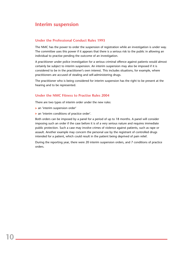### **Interim suspension**

### **Under the Professional Conduct Rules 1993**

The NMC has the power to order the suspension of registration while an investigation is under way. The committee uses this power if it appears that there is a serious risk to the public in allowing an individual to practise pending the outcome of an investigation.

A practitioner under police investigation for a serious criminal offence against patients would almost certainly be subject to interim suspension. An interim suspension may also be imposed if it is considered to be in the practitioner's own interest. This includes situations, for example, where practitioners are accused of stealing and self-administering drugs.

The practitioner who is being considered for interim suspension has the right to be present at the hearing and to be represented.

### **Under the NMC Fitness to Practise Rules 2004**

There are two types of interim order under the new rules:

- an 'interim suspension order'
- $\blacktriangleright$  an 'interim conditions of practice order'.

Both orders can be imposed by a panel for a period of up to 18 months. A panel will consider imposing such an order if the case before it is of a very serious nature and requires immediate public protection. Such a case may involve crimes of violence against patients, such as rape or assault. Another example may concern the personal use by the registrant of controlled drugs intended for a patient, which could result in the patient being deprived of pain relief.

During the reporting year, there were 20 interim suspension orders, and 7 conditions of practice orders.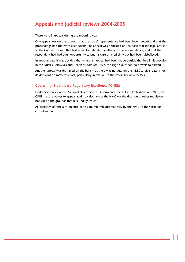### **Appeals and judicial reviews 2004-2005**

There were 3 appeals during the reporting year.

One appeal was on the grounds that the nurse's representative had been incompetent and that the proceedings had therefore been unfair. The appeal was dismissed on the basis that the legal advisor to the Conduct Committee had acted to mitigate the effects of the incompetence, and that the respondent had had a full opportunity to put his case on credibility but had been disbelieved.

In another case it was decided that where an appeal had been made outside the time limit specified in the Nurses, Midwives and Health Visitors Act 1997, the High Court had no powers to extend it.

Another appeal was dismissed on the basis that there was no duty on the NMC to give reasons for its decisions on matters of fact, particularly in relation to the credibility of witnesses.

### **Council for Healthcare Regulatory Excellence (CHRE)**

Under Section 29 of the National Health Service Reform and Health Care Professions Act 2002, the CRHE has the power to appeal against a decision of the NMC (or the decision of other regulatory bodies) on the grounds that it is unduly lenient.

All decisions of fitness to practise panels are referred automatically by the NMC to the CRHE for consideration.

**11**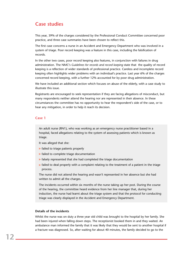### **Case studies**

This year, 39% of the charges considered by the Professional Conduct Committee concerned poor practice, and three case summaries have been chosen to reflect this.

The first case concerns a nurse in an Accident and Emergency Department who was involved in a system of triage. Poor record keeping was a feature in this case, including the falsification of records.

In the other two cases, poor record keeping also features, in conjunction with failures in drug administration. The NMC's *Guidelines for records and record keeping* state that the quality of record keeping is a reflection of wider standards of professional practice. Careless and incomplete record keeping often highlights wider problems with an individual's practice. Last year 6% of the charges concerned record keeping, with a further 12% accounted for by poor drug administration.

We have included an additional section which focuses on abuse of the elderly, with a case study to illustrate this issue.

Registrants are encouraged to seek representation if they are facing allegations of misconduct, but many respondents neither attend the hearing nor are represented in their absence. In these circumstances the committee has no opportunity to hear the respondent's side of the case, or to hear any mitigation, in order to help it reach its decision.

### **Case 1**

An adult nurse (RN1), who was working as an emergency nurse practitioner based in a hospital, faced allegations relating to the system of assessing patients which is known as triage.

- It was alleged that she:
- $\blacktriangleright$  failed to triage patients properly
- $\blacktriangleright$  failed to complete triage documentation
- $\blacktriangleright$  falsely represented that she had completed the triage documentation
- $\blacktriangleright$  failed to deal properly with a complaint relating to the treatment of a patient in the triage process.

The nurse did not attend the hearing and wasn't represented in her absence but she had written to admit all the charges.

The incidents occurred within six months of the nurse taking up her post. During the course of the hearing, the committee heard evidence from her line manager that, during her induction, the nurse had learnt about the triage system and that the protocol for conducting triage was clearly displayed in the Accident and Emergency Department.

### **Details of the incidents**

**12**

Whilst the nurse was on duty a three year old child was brought to the hospital by her family. She had been injured when falling down steps. The receptionist booked them in and they waited. An ambulance man informed the family that it was likely that they would be sent to another hospital if a fracture was diagnosed. So, after waiting for about 40 minutes, the family decided to go to the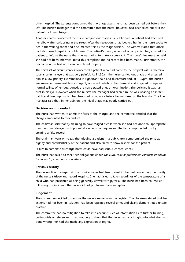other hospital. The parents complained that no triage assessment had been carried out before they left. The nurse's manager told the committee that the notes, however, had been filled out as if the patient had been triaged.

Another charge concerned the nurse carrying out triage in a public area. A patient had fractured her elbow after collapsing in the street. After the receptionist had booked her in, the nurse spoke to her in the waiting room and documented this as the triage session. The witness stated that others had also been triaged in a public area. The patient's friend, who had accompanied her, advised the patient to inform the nurse that she was going to make a complaint. The nurse's line manager said she had not been informed about this complaint and no record had been made. Furthermore, the discharge notes had not been completed properly.

The third set of circumstances concerned a patient who had come to the hospital with a chemical substance in his eye that was very painful. At 11:30am the nurse carried out triage and assessed him as a low priority. He remained in significant pain and discomfort and, at 1.05pm, the nurse's line manager reassessed him as urgent, obtained details of the chemical and irrigated his eye with normal saline. When questioned, the nurse stated that, on examination, she believed it was just dust in his eye. However when the nurse's line manager had seen him, he was wearing an intact patch and bandages which had been put on at work before he was taken to the hospital. The line manager said that, in her opinion, the initial triage was poorly carried out.

### **Decision on misconduct**

The nurse had written to admit the facts of the charges and the committee decided that the charges amounted to misconduct.

The chairman said that by claiming to have triaged a child when she had not done so, appropriate treatment was delayed with potentially serious consequences. She had compounded this by creating a false record.

The chairman went on to say that triaging a patient in a public area compromised the privacy, dignity and confidentiality of the patient and also failed to show respect for the patient.

Failure to complete discharge notes could have had serious consequences.

The nurse had failed to meet her obligations under *The NMC code of professional conduct: standards for conduct, performance and ethics*.

### **Previous history**

The nurse's line manager said that similar issues had been raised in the past concerning the quality of the nurse's triage and record keeping. She had failed to take recordings of the temperature of a child who had presented as being generally unwell with pyrexia. The nurse had been counselled following this incident. The nurse did not put forward any mitigation.

#### **Judgement**

The committee decided to remove the nurse's name from the register. The chairman stated that her actions had not been in isolation, had been repeated several times and clearly demonstrated unsafe practice.

The committee had no mitigation to take into account, such as information as to further training, testimonials or references. It had nothing to show that the nurse had any insight into what she had done wrong, nor had she made any expression of regret.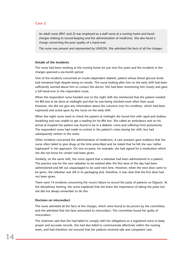### **Case 2**

An adult nurse (RN1 and 2) was employed as a staff nurse at a nursing home and faced charges relating to record keeping and the administration of medicines. She also faced a charge concerning the poor quality of a hand-over.

The nurse was present and represented by UNISON. She admitted the facts of all the charges.

#### **Details of the incidents**

The nurse had been working at the nursing home for just over five years and the incidents in the charges spanned a six-month period.

One of the incidents concerned an insulin-dependent diabetic patient whose blood glucose levels had remained high despite being on insulin. The nurse looking after him on the early shift had been sufficiently worried about him to contact the doctor. She had been monitoring him closely and gave a full hand-over to the respondent nurse.

When the respondent nurse handed over to the night shift she mentioned that the patient needed his BM test to be done at midnight and that he was being checked more often than usual. However, she did not give any information about the concerns over his condition, which had been expressed and acted upon by the nurse on the early shift.

When the night nurse went to check the patient at midnight she found him with rapid and shallow breathing and was unable to get a reading for his BM test. She called an ambulance and on his arrival at hospital the patient was found to be in a diabetic coma and suffering from pneumonia. The respondent nurse had made no entries in the patient's notes during her shift, but had subsequently written in the notes.

Other incidents concerned the administration of medicines. A care assistant gave evidence that the nurse often failed to give drugs at the time prescribed and he stated that he felt she was 'rather haphazard' in her approach. On one occasion, for example, she had signed for a medication which she did not know for certain had been given.

Similarly, on the same shift, the nurse signed that a nebuliser had been administered to a patient. The practice was for the new nebuliser to be washed after the first dose of the day had been administered and left out unpackaged to be used next time. However, when the next dose came to be given, the nebuliser was still in its packaging and, therefore, it was clear that the first dose had not been given.

There were 14 incidents concerning the nurse's failure to record the pulse of patients on Digoxin. At the disciplinary hearing, the nurse explained that she knew the importance of taking the pulse but she did not always remember to do this.

#### **Decision on misconduct**

The nurse admitted all the facts of the charges, which were found to be proven by the committee, and she admitted that the facts amounted to misconduct. The committee found her guilty of misconduct.

The chairman said that she had failed to comply with her obligations as a registered nurse to keep proper and accurate records. She had also failed to communicate effectively within the nursing team, and had therefore not ensured that her patients received safe and competent care.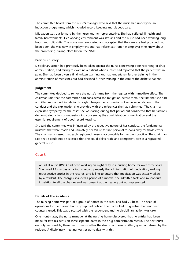The committee heard from the nurse's manager who said that the nurse had undergone an induction programme, which included record keeping and diabetic care.

Mitigation was put forward by the nurse and her representative. She had suffered ill health and family bereavements. Her working environment was stressful and the nurse had been working long hours and split shifts. The nurse was remorseful, and accepted that the care she had provided had been poor. She was now in employment and had references from her employer who knew about the proceedings taking place before the NMC.

### **Previous history**

Disciplinary action had previously been taken against the nurse concerning poor recording of drug administration, and failing to examine a patient when a carer had reported that the patient was in pain. She had been given a final written warning and had undertaken further training in the administration of medicines but had declined further training in the care of the diabetic patient.

#### **Judgement**

The committee decided to remove the nurse's name from the register with immediate effect. The chairman said that the committee had considered the mitigation before them, the fact that she had admitted misconduct in relation to eight charges, her expressions of remorse in relation to that conduct and the explanation she provided with the references she had submitted. The chairman expressed sympathy for the crises she was facing during that period but considered that her actions demonstrated a lack of understanding concerning the administration of medication and the essential requirement of good record keeping.

She said the committee was influenced by the repetitive nature of her conduct, the fundamental mistakes that were made and ultimately her failure to take personal responsibility for those errors. The chairman stressed that each registered nurse is accountable for her own practice. The chairman said that it could not be satisfied that she could deliver safe and competent care as a registered general nurse.

### **Case 3**

An adult nurse (RN1) had been working on night duty in a nursing home for over three years. She faced 12 charges of failing to record properly the administration of medication, making retrospective entries in the records, and failing to ensure that medication was actually taken by a resident. The charges spanned a period of a month. She admitted facts and misconduct in relation to all the charges and was present at the hearing but not represented.

### **Details of the incidents**

The nursing home was part of a group of homes in the area, and had 70 beds. The head of operations for the nursing home group had noticed that controlled drug entries had not been counter-signed. This was discussed with the respondent and no disciplinary action was taken.

One month later, the nurse manager at the nursing home discovered that no entries had been made for two residents on three separate dates in the drug administration record. The next nurse on duty was unable, therefore, to see whether the drugs had been omitted, given or refused by the resident. A disciplinary meeting was set up to deal with this.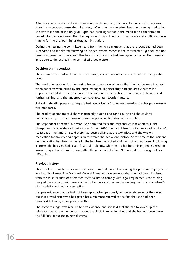A further charge concerned a nurse working on the morning shift who had received a hand-over from the respondent nurse after night duty. When she went to administer the morning medication, she saw that none of the drugs at 10pm had been signed for in the medication administration record. She then discovered that the respondent was still in the nursing home and at 10.30am was signing for the previous night's drug administration.

During the hearing the committee heard from the home manager that the respondent had been supervised and monitored following an incident where entries in the controlled drug book had not been counter-signed. The committee heard that the nurse had been given a final written warning in relation to the entries in the controlled drugs register.

#### **Decision on misconduct**

The committee considered that the nurse was guilty of misconduct in respect of the charges she faced.

The head of operations for the nursing home group gave evidence that she had become involved when concerns were raised by the nurse manager. Together they had explored whether the respondent needed further guidance or training but the nurse herself said that she did not need further training, and she undertook to make accurate records in future.

Following the disciplinary hearing she had been given a final written warning and her performance was monitored.

The head of operations said she was generally a good and caring nurse and she couldn't understand why the nurse couldn't make proper records of drug administration.

The respondent appeared in person. She admitted facts and misconduct in relation to all the charges and gave evidence in mitigation. During 2003 she hadn't been coping very well but hadn't realised it at the time. She said there had been bullying at the workplace and she was on medication for anxiety and depression for which she had a long history. At the time of the incident her medication had been increased. She had been very tired and her mother had been ill following a stroke. She had also had severe financial problems, which led to her house being repossessed. In answer to questions from the committee the nurse said she hadn't informed her manager of her difficulties.

### **Previous history**

**16**

There had been similar issues with the nurse's drug administration during her previous employment in a local NHS trust. The Divisional General Manager gave evidence that she had been dismissed from the trust for theft or attempted theft, failure to comply with legal requirements concerning drug administration, taking medication for her personal use, and increasing the dose of a patient's night sedation without a prescription.

He gave evidence that he had not been approached personally to give a reference for the nurse, but that a ward sister who had given her a reference referred to the fact that she had been dismissed following a disciplinary matter.

The home manager was recalled to give evidence and she said that she had followed up the references because of her concern about the disciplinary action, but that she had not been given the full facts about the nurse's dismissal.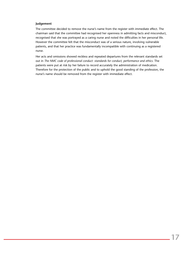### **Judgement**

The committee decided to remove the nurse's name from the register with immediate effect. The chairman said that the committee had recognised her openness in admitting facts and misconduct, recognised that she was portrayed as a caring nurse and noted the difficulties in her personal life. However the committee felt that the misconduct was of a serious nature, involving vulnerable patients, and that her practice was fundamentally incompatible with continuing as a registered nurse.

Her acts and omissions showed reckless and repeated departures from the relevant standards set out in *The NMC code of professional conduct: standards for conduct, performance and ethics*. The patients were put at risk by her failure to record accurately the administration of medication. Therefore for the protection of the public and to uphold the good standing of the profession, the nurse's name should be removed from the register with immediate effect.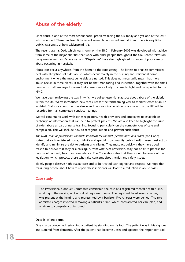### **Abuse of the elderly**

Elder abuse is one of the most serious social problems facing the UK today and yet one of the least acknowledged. There has been little recent research conducted around it and there is very little public awareness of how widespread it is.

The recent drama, Dad, which was shown on the BBC in February 2005 was developed with advice from some of the major charities that work with older people throughout the UK. Recent television programmes such as 'Panorama' and 'Dispatches' have also highlighted instances of poor care or abuse occurring in hospitals.

Abuse can occur anywhere, from the home to the care setting. The fitness to practise committees deal with allegations of elder abuse, which occur mainly in the nursing and residential home environment where the most vulnerable are nursed. This does not necessarily mean that more abuse occurs in these places. It may just be that monitoring and inspection, together with the small number of staff employed, means that abuse is more likely to come to light and be reported to the NMC.

We have been reviewing the way in which we collect essential statistics about abuse of the elderly within the UK. We've introduced new measures for the forthcoming year to monitor cases of abuse in detail. Statistics about the prevalence and geographical location of abuse across the UK will be recorded from all completed conduct hearings.

We will continue to work with other regulators, health providers and employers to establish an exchange of information that can help to protect patients. We are also keen to highlight the issue of elder abuse as part of nurse training, focusing particularly on the competencies of care and compassion. This will include how to recognise, report and prevent such abuse.

*The NMC code of professional conduct: standards for conduct, performance and ethics* (the Code) states that each registered nurse, midwife and specialist community public health nurse must act to identify and minimise the risk to patients and clients. They must act quickly if they have good reason to believe that they or a colleague, from whatever profession, may not be fit to practise for reasons of conduct, health or competence. The Code also states that they should be aware of the legislation, which protects those who raise concerns about health and safety issues.

Elderly people deserve high quality care and to be treated with dignity and respect. We hope that reassuring people about how to report these incidents will lead to a reduction in abuse cases.

### **Case study**

The Professional Conduct Committee considered the case of a registered mental health nurse, working in the nursing unit of a dual registered home. The registrant faced seven charges, was present at the hearing and represented by a barrister. Five charges were denied. The two admitted charges involved removing a patient's brace, which contradicted her care plan, and a failure to complete a duty round.

### **Details of incidents**

One charge concerned restraining a patient by standing on his foot. The patient was in his eighties and suffered from dementia. After the patient had become upset and agitated the respondent slid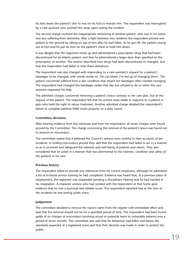his foot down the patient's shin to rest on his foot to restrain him. The respondent was interrupted by a care assistant who pushed him away upon seeing the incident.

The second charge involved the inappropriate restraining of another patient, who was in his sixties and also suffering from dementia. After a fight between two residents the respondent pinned one patient to the ground by sitting on top of him after he had fallen. As he got off, the patient swung out at him and he put his foot on the patient's chest to hold him down.

It was alleged that the registrant wrote up and administered a prescription drug that had been discontinued for an elderly patient, and that he administered a larger dose than specified on the prescription of another. The matron described how drugs had been discontinued or changed, and that the respondent had failed to note these alterations.

The respondent was also charged with responding to a care assistant's request for a patient's bandages to be changed, with words similar to, 'He can bleed. I'm fed up of changing them'. The patient concerned suffered from a skin condition that meant her bandages often needed changing. The respondent had changed the bandages earlier that day but refused to do so when the care assistant requested his help.

The admitted charges concerned removing a patient's brace contrary to her care plan, but at the request of the patient. The respondent felt that his actions were made in response to a patient in pain who held the right to refuse treatment. Another admitted charge detailed the respondent's failure to complete patients MAR charts properly on a duty round.

### **Committee decisions**

After hearing evidence from five witnesses and from the respondent, all seven charges were found proved by the Committee. The charge concerning the removal of the patient's brace was found not to amount to misconduct.

The committee stated that it believed the Council's witness were truthful in their accounts of the incidents. In finding misconduct proved they said that the respondent had failed to act in a manner so as to promote and safeguard the interests and well being of patients and clients. They also considered that he acted in a manner that was detrimental to the interests, condition and safety of the patients in his care.

### **Previous history**

The respondent failed to provide any references from his current employers, although he submitted a list of in-house service training he had completed. Evidence was heard that, at a previous place of employment, the registrant was suspended pending a disciplinary hearing and he had handed in his resignation. A character witness who had worked with the respondent at that home gave evidence that he was a punctual and reliable nurse. The respondent reported that at the time of the incidents he was feeling under stress.

#### **Judgement**

The committee decided to remove the nurse's name from the register with immediate effect and said that the removal should not be for a specified period of time. The respondent had been found guilty of six charges of misconduct involving actual or potential harm to vulnerable patients over a period of seven months. The committee also said that his behaviour had fallen well below the standards expected of a registered nurse and that their decision was made in order to protect the public.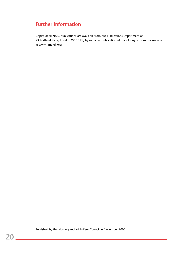### **Further information**

Copies of all NMC publications are available from our Publications Department at 23 Portland Place, London W1B 1PZ, by e-mail at publications@nmc-uk.org or from our website at www.nmc-uk.org

Published by the Nursing and Midwifery Council in November 2005.